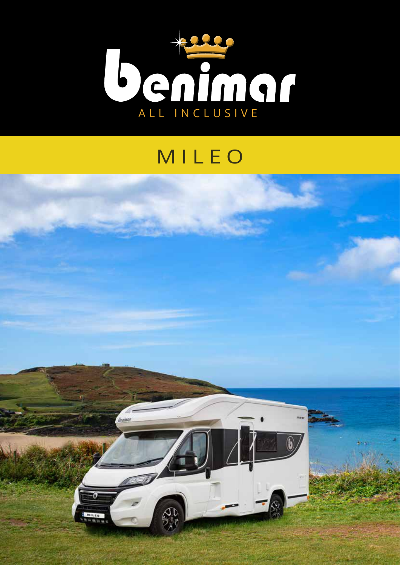

## MILEO